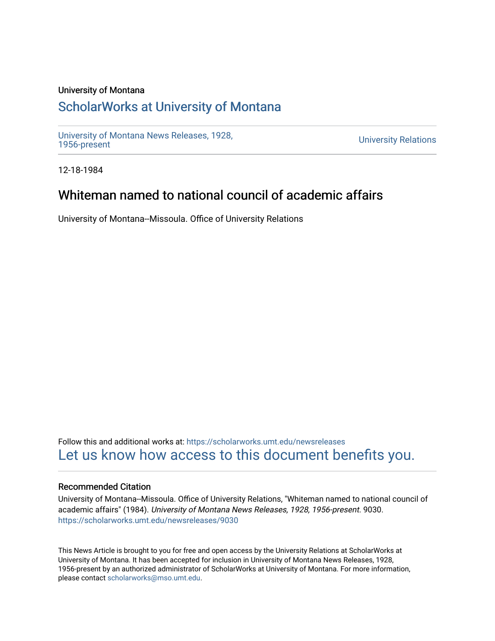#### University of Montana

## [ScholarWorks at University of Montana](https://scholarworks.umt.edu/)

[University of Montana News Releases, 1928,](https://scholarworks.umt.edu/newsreleases) 

**University Relations** 

12-18-1984

# Whiteman named to national council of academic affairs

University of Montana--Missoula. Office of University Relations

Follow this and additional works at: [https://scholarworks.umt.edu/newsreleases](https://scholarworks.umt.edu/newsreleases?utm_source=scholarworks.umt.edu%2Fnewsreleases%2F9030&utm_medium=PDF&utm_campaign=PDFCoverPages) [Let us know how access to this document benefits you.](https://goo.gl/forms/s2rGfXOLzz71qgsB2) 

#### Recommended Citation

University of Montana--Missoula. Office of University Relations, "Whiteman named to national council of academic affairs" (1984). University of Montana News Releases, 1928, 1956-present. 9030. [https://scholarworks.umt.edu/newsreleases/9030](https://scholarworks.umt.edu/newsreleases/9030?utm_source=scholarworks.umt.edu%2Fnewsreleases%2F9030&utm_medium=PDF&utm_campaign=PDFCoverPages) 

This News Article is brought to you for free and open access by the University Relations at ScholarWorks at University of Montana. It has been accepted for inclusion in University of Montana News Releases, 1928, 1956-present by an authorized administrator of ScholarWorks at University of Montana. For more information, please contact [scholarworks@mso.umt.edu.](mailto:scholarworks@mso.umt.edu)